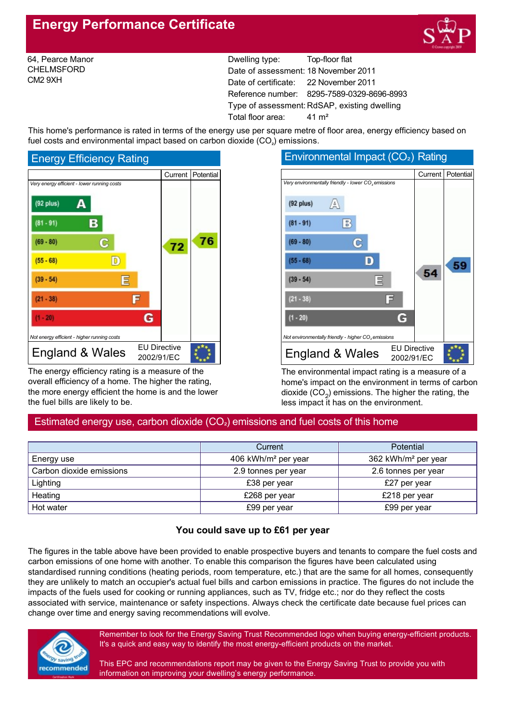# **Energy Performance Certificate**



64, Pearce Manor CHELMSFORD CM2 9XH

Dwelling type: Top-floor flat Date of assessment: 18 November 2011 Date of certificate: 22 November 2011 Reference number: 8295-7589-0329-8696-8993 Type of assessment: RdSAP, existing dwelling Total floor area: 41 m<sup>2</sup>

This home's performance is rated in terms of the energy use per square metre of floor area, energy efficiency based on fuel costs and environmental impact based on carbon dioxide  $(CO<sub>2</sub>)$  emissions.



The energy efficiency rating is a measure of the overall efficiency of a home. The higher the rating, the more energy efficient the home is and the lower the fuel bills are likely to be.

#### Environmental Impact (CO<sub>2</sub>) Rating Current | Potential *Very environmentally friendly lower CO<sup>²</sup> emissions*  $(92$  plus) А  $\mathbb{B}$  $(81 - 91)$  $(69 - 80)$ C  $(55 - 68)$ D 59 54  $(39 - 54)$  $\equiv$ Ξ  $(21 - 38)$  $(1 - 20)$ G *Not environmentally friendly higher CO<sup>²</sup> emissions* England & Wales  $\frac{EU \text{ Directive}}{2002/01/E}$ 2002/91/EC

The environmental impact rating is a measure of a home's impact on the environment in terms of carbon dioxide  $(CO<sub>2</sub>)$  emissions. The higher the rating, the less impact it has on the environment.

## Estimated energy use, carbon dioxide  $(CO<sub>2</sub>)$  emissions and fuel costs of this home

|                          | <b>Potential</b><br>Current     |                                 |  |
|--------------------------|---------------------------------|---------------------------------|--|
| Energy use               | 406 kWh/m <sup>2</sup> per year | 362 kWh/m <sup>2</sup> per year |  |
| Carbon dioxide emissions | 2.9 tonnes per year             | 2.6 tonnes per year             |  |
| Lighting                 | £38 per year                    | £27 per year                    |  |
| Heating                  | £268 per year                   | £218 per year                   |  |
| Hot water                | £99 per year                    | £99 per year                    |  |

## **You could save up to £61 per year**

The figures in the table above have been provided to enable prospective buyers and tenants to compare the fuel costs and carbon emissions of one home with another. To enable this comparison the figures have been calculated using standardised running conditions (heating periods, room temperature, etc.) that are the same for all homes, consequently they are unlikely to match an occupier's actual fuel bills and carbon emissions in practice. The figures do not include the impacts of the fuels used for cooking or running appliances, such as TV, fridge etc.; nor do they reflect the costs associated with service, maintenance or safety inspections. Always check the certificate date because fuel prices can change over time and energy saving recommendations will evolve.



Remember to look for the Energy Saving Trust Recommended logo when buying energy-efficient products. It's a quick and easy way to identify the most energy-efficient products on the market.

This EPC and recommendations report may be given to the Energy Saving Trust to provide you with information on improving your dwelling's energy performance.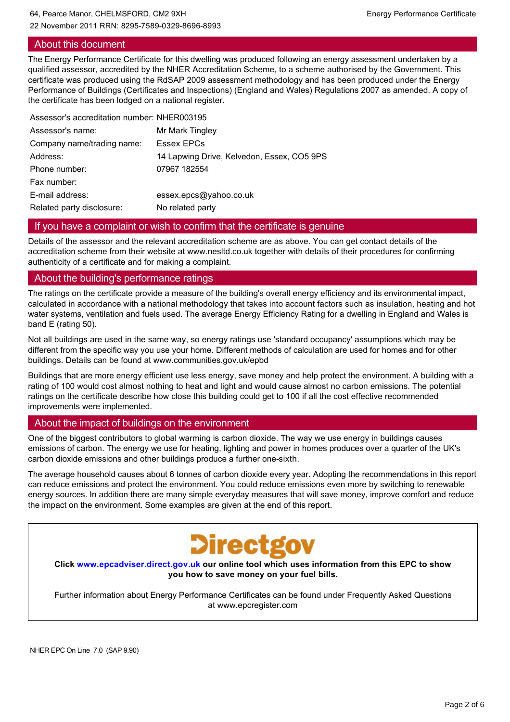## About this document

The Energy Performance Certificate for this dwelling was produced following an energy assessment undertaken by a qualified assessor, accredited by the NHER Accreditation Scheme, to a scheme authorised by the Government. This certificate was produced using the RdSAP 2009 assessment methodology and has been produced under the Energy Performance of Buildings (Certificates and Inspections) (England and Wales) Regulations 2007 as amended. A copy of the certificate has been lodged on a national register.

| Assessor's accreditation number: NHER003195 |                                            |
|---------------------------------------------|--------------------------------------------|
| Assessor's name:                            | Mr Mark Tingley                            |
| Company name/trading name:                  | Essex EPCs                                 |
| Address:                                    | 14 Lapwing Drive, Kelvedon, Essex, CO5 9PS |
| Phone number:                               | 07967 182554                               |
| Fax number:                                 |                                            |
| E-mail address:                             | essex.epcs@yahoo.co.uk                     |
| Related party disclosure:                   | No related party                           |
|                                             |                                            |

## If you have a complaint or wish to confirm that the certificate is genuine

Details of the assessor and the relevant accreditation scheme are as above. You can get contact details of the accreditation scheme from their website at www.nesltd.co.uk together with details of their procedures for confirming authenticity of a certificate and for making a complaint.

## About the building's performance ratings

The ratings on the certificate provide a measure of the building's overall energy efficiency and its environmental impact, calculated in accordance with a national methodology that takes into account factors such as insulation, heating and hot water systems, ventilation and fuels used. The average Energy Efficiency Rating for a dwelling in England and Wales is band E (rating 50).

Not all buildings are used in the same way, so energy ratings use 'standard occupancy' assumptions which may be different from the specific way you use your home. Different methods of calculation are used for homes and for other buildings. Details can be found at www.communities.gov.uk/epbd

Buildings that are more energy efficient use less energy, save money and help protect the environment. A building with a rating of 100 would cost almost nothing to heat and light and would cause almost no carbon emissions. The potential ratings on the certificate describe how close this building could get to 100 if all the cost effective recommended improvements were implemented.

## About the impact of buildings on the environment

One of the biggest contributors to global warming is carbon dioxide. The way we use energy in buildings causes emissions of carbon. The energy we use for heating, lighting and power in homes produces over a quarter of the UK's carbon dioxide emissions and other buildings produce a further one-sixth.

The average household causes about 6 tonnes of carbon dioxide every year. Adopting the recommendations in this report can reduce emissions and protect the environment. You could reduce emissions even more by switching to renewable energy sources. In addition there are many simple everyday measures that will save money, improve comfort and reduce the impact on the environment. Some examples are given at the end of this report.



**Click www.epcadviser.direct.gov.uk our online tool which uses information from this EPC to show you how to save money on your fuel bills.**

Further information about Energy Performance Certificates can be found under Frequently Asked Questions at www.epcregister.com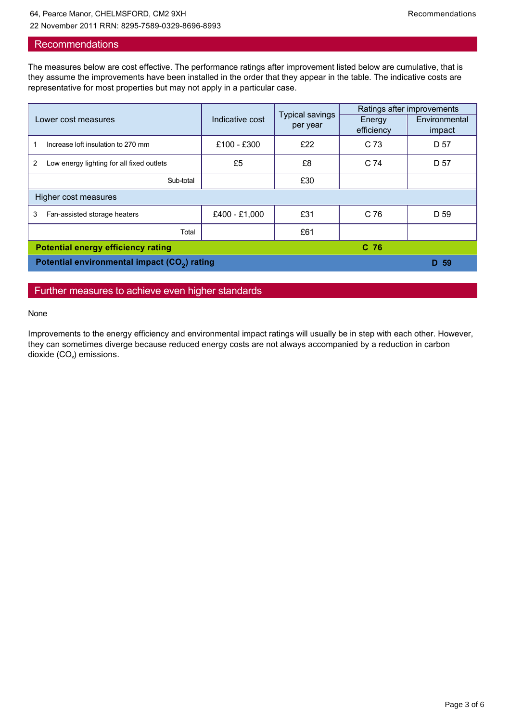## **Recommendations**

The measures below are cost effective. The performance ratings after improvement listed below are cumulative, that is they assume the improvements have been installed in the order that they appear in the table. The indicative costs are representative for most properties but may not apply in a particular case.

| Lower cost measures                                      | Indicative cost | <b>Typical savings</b><br>per year | Ratings after improvements |               |  |
|----------------------------------------------------------|-----------------|------------------------------------|----------------------------|---------------|--|
|                                                          |                 |                                    | Energy                     | Environmental |  |
|                                                          |                 |                                    | efficiency                 | impact        |  |
| Increase loft insulation to 270 mm                       | £100 - £300     | £22                                | C <sub>73</sub>            | D 57          |  |
| Low energy lighting for all fixed outlets<br>2           | £5              | £8                                 | C <sub>74</sub>            | D 57          |  |
| Sub-total                                                |                 | £30                                |                            |               |  |
| Higher cost measures                                     |                 |                                    |                            |               |  |
| 3<br>Fan-assisted storage heaters                        | £400 - £1,000   | £31                                | C <sub>76</sub>            | D 59          |  |
| Total                                                    |                 | £61                                |                            |               |  |
| <b>Potential energy efficiency rating</b><br>$C$ 76      |                 |                                    |                            |               |  |
| Potential environmental impact (CO <sub>2</sub> ) rating |                 |                                    |                            |               |  |

## Further measures to achieve even higher standards

#### None

Improvements to the energy efficiency and environmental impact ratings will usually be in step with each other. However, they can sometimes diverge because reduced energy costs are not always accompanied by a reduction in carbon dioxide  $(CO<sub>2</sub>)$  emissions.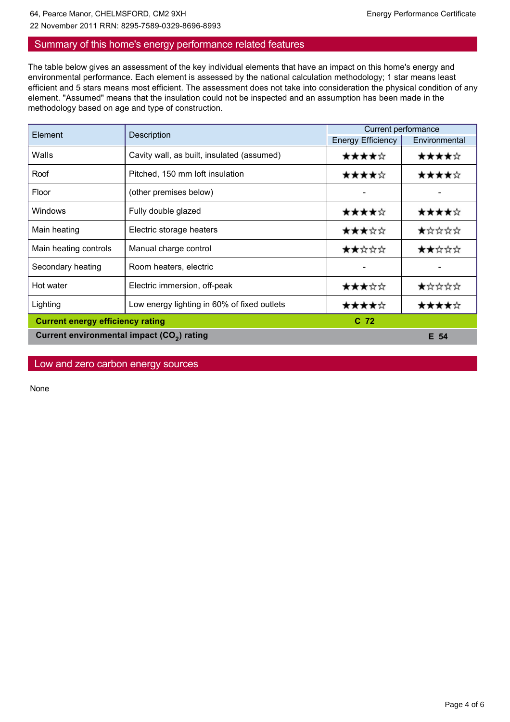## 64, Pearce Manor, CHELMSFORD, CM2 9XH energy Performance Certificate 22 November 2011 RRN: 8295-7589-0329-8696-8993

## Summary of this home's energy performance related features

The table below gives an assessment of the key individual elements that have an impact on this home's energy and environmental performance. Each element is assessed by the national calculation methodology; 1 star means least efficient and 5 stars means most efficient. The assessment does not take into consideration the physical condition of any element. "Assumed" means that the insulation could not be inspected and an assumption has been made in the methodology based on age and type of construction.

| Element                                                | Description                                 | Current performance      |               |  |
|--------------------------------------------------------|---------------------------------------------|--------------------------|---------------|--|
|                                                        |                                             | <b>Energy Efficiency</b> | Environmental |  |
| Walls                                                  | Cavity wall, as built, insulated (assumed)  | ★★★★☆                    | ★★★★☆         |  |
| Roof                                                   | Pitched, 150 mm loft insulation             | ★★★★☆                    | ★★★★☆         |  |
| Floor                                                  | (other premises below)                      |                          |               |  |
| Windows                                                | Fully double glazed                         | ★★★★☆                    | ★★★★☆         |  |
| Main heating                                           | Electric storage heaters                    | ★★★☆☆                    | ★☆☆☆☆         |  |
| Main heating controls                                  | Manual charge control                       | ★★☆☆☆                    | ★★☆☆☆         |  |
| Secondary heating                                      | Room heaters, electric                      |                          |               |  |
| Hot water                                              | Electric immersion, off-peak                | ★★★☆☆                    | ★☆☆☆☆         |  |
| Lighting                                               | Low energy lighting in 60% of fixed outlets | ★★★★☆                    |               |  |
| <b>Current energy efficiency rating</b>                |                                             | $C$ 72                   |               |  |
| Current environmental impact (CO <sub>2</sub> ) rating |                                             |                          | E 54          |  |

Low and zero carbon energy sources

None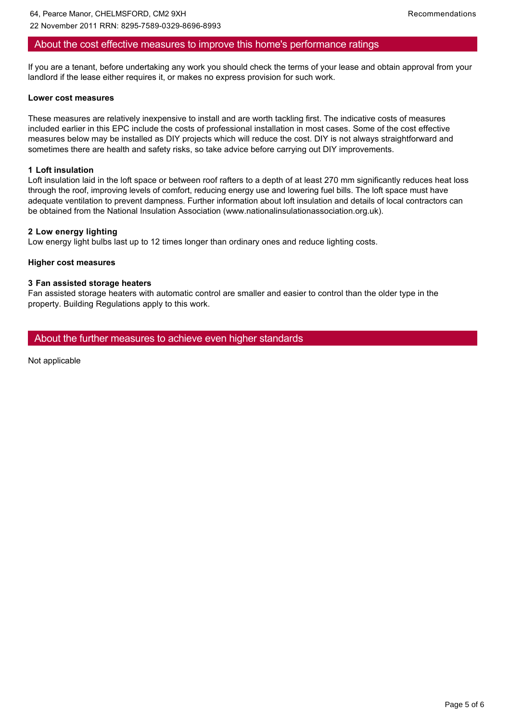## About the cost effective measures to improve this home's performance ratings

If you are a tenant, before undertaking any work you should check the terms of your lease and obtain approval from your landlord if the lease either requires it, or makes no express provision for such work.

#### **Lower cost measures**

These measures are relatively inexpensive to install and are worth tackling first. The indicative costs of measures included earlier in this EPC include the costs of professional installation in most cases. Some of the cost effective measures below may be installed as DIY projects which will reduce the cost. DIY is not always straightforward and sometimes there are health and safety risks, so take advice before carrying out DIY improvements.

#### **1 Loft insulation**

Loft insulation laid in the loft space or between roof rafters to a depth of at least 270 mm significantly reduces heat loss through the roof, improving levels of comfort, reducing energy use and lowering fuel bills. The loft space must have adequate ventilation to prevent dampness. Further information about loft insulation and details of local contractors can be obtained from the National Insulation Association (www.nationalinsulationassociation.org.uk).

#### **2 Low energy lighting**

Low energy light bulbs last up to 12 times longer than ordinary ones and reduce lighting costs.

#### **Higher cost measures**

#### **3 Fan assisted storage heaters**

Fan assisted storage heaters with automatic control are smaller and easier to control than the older type in the property. Building Regulations apply to this work.

About the further measures to achieve even higher standards

Not applicable